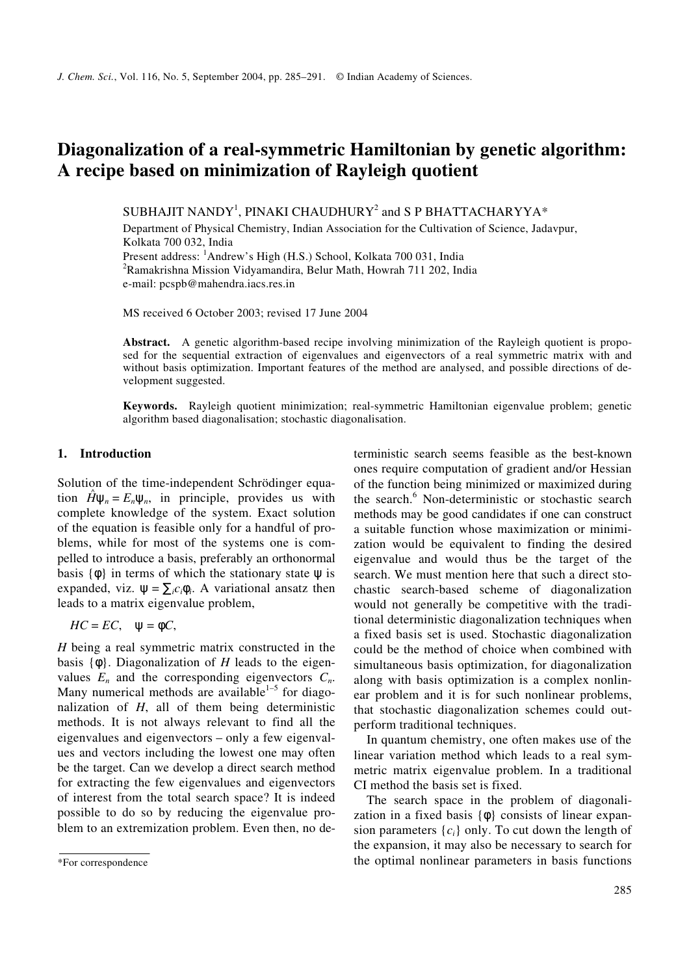# **Diagonalization of a real-symmetric Hamiltonian by genetic algorithm: A recipe based on minimization of Rayleigh quotient**

SUBHAJIT NANDY $^{\rm l}$ , PINAKI CHAUDHURY $^{\rm 2}$  and S P BHATTACHARYYA\*

Department of Physical Chemistry, Indian Association for the Cultivation of Science, Jadavpur, Kolkata 700 032, India Present address: <sup>1</sup>Andrew's High (H.S.) School, Kolkata 700 031, India <sup>2</sup>Ramakrishna Mission Vidyamandira, Belur Math, Howrah 711 202, India

e-mail: pcspb@mahendra.iacs.res.in

MS received 6 October 2003; revised 17 June 2004

**Abstract.** A genetic algorithm-based recipe involving minimization of the Rayleigh quotient is proposed for the sequential extraction of eigenvalues and eigenvectors of a real symmetric matrix with and without basis optimization. Important features of the method are analysed, and possible directions of development suggested.

**Keywords.** Rayleigh quotient minimization; real-symmetric Hamiltonian eigenvalue problem; genetic algorithm based diagonalisation; stochastic diagonalisation.

## **1. Introduction**

Solution of the time-independent Schrödinger equation  $\hat{H}\Psi_n = E_n\Psi_n$ , in principle, provides us with complete knowledge of the system. Exact solution of the equation is feasible only for a handful of problems, while for most of the systems one is compelled to introduce a basis, preferably an orthonormal basis  $\{\phi\}$  in terms of which the stationary state  $\psi$  is expanded, viz.  $\psi = \sum_i c_i \phi_i$ . A variational ansatz then leads to a matrix eigenvalue problem,

$$
HC = EC, \quad \psi = \phi C,
$$

*H* being a real symmetric matrix constructed in the basis {φ}. Diagonalization of *H* leads to the eigenvalues  $E_n$  and the corresponding eigenvectors  $C_n$ . Many numerical methods are available<sup>1-5</sup> for diagonalization of *H*, all of them being deterministic methods. It is not always relevant to find all the eigenvalues and eigenvectors – only a few eigenvalues and vectors including the lowest one may often be the target. Can we develop a direct search method for extracting the few eigenvalues and eigenvectors of interest from the total search space? It is indeed possible to do so by reducing the eigenvalue problem to an extremization problem. Even then, no deterministic search seems feasible as the best-known ones require computation of gradient and/or Hessian of the function being minimized or maximized during the search.<sup>6</sup> Non-deterministic or stochastic search methods may be good candidates if one can construct a suitable function whose maximization or minimization would be equivalent to finding the desired eigenvalue and would thus be the target of the search. We must mention here that such a direct stochastic search-based scheme of diagonalization would not generally be competitive with the traditional deterministic diagonalization techniques when a fixed basis set is used. Stochastic diagonalization could be the method of choice when combined with simultaneous basis optimization, for diagonalization along with basis optimization is a complex nonlinear problem and it is for such nonlinear problems, that stochastic diagonalization schemes could outperform traditional techniques.

In quantum chemistry, one often makes use of the linear variation method which leads to a real symmetric matrix eigenvalue problem. In a traditional CI method the basis set is fixed.

The search space in the problem of diagonalization in a fixed basis  $\{\phi\}$  consists of linear expansion parameters  $\{c_i\}$  only. To cut down the length of the expansion, it may also be necessary to search for the optimal nonlinear parameters in basis functions

<sup>\*</sup>For correspondence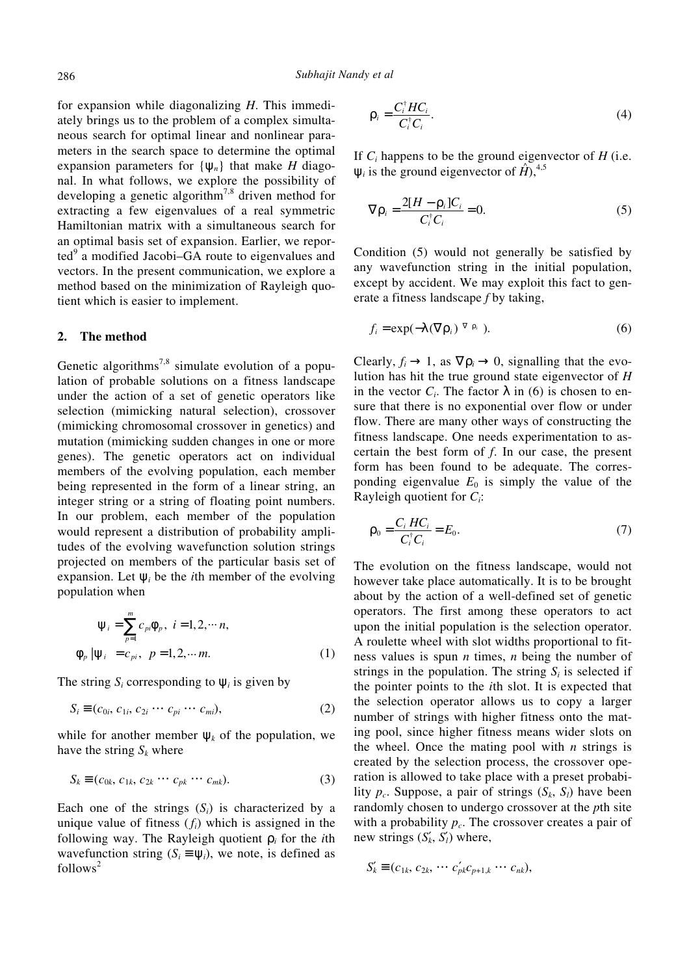for expansion while diagonalizing *H*. This immediately brings us to the problem of a complex simultaneous search for optimal linear and nonlinear parameters in the search space to determine the optimal expansion parameters for  $\{\psi_n\}$  that make *H* diagonal. In what follows, we explore the possibility of developing a genetic algorithm<sup>7,8</sup> driven method for extracting a few eigenvalues of a real symmetric Hamiltonian matrix with a simultaneous search for an optimal basis set of expansion. Earlier, we reported<sup>9</sup> a modified Jacobi–GA route to eigenvalues and vectors. In the present communication, we explore a method based on the minimization of Rayleigh quotient which is easier to implement.

## **2. The method**

Genetic algorithms<sup>7,8</sup> simulate evolution of a population of probable solutions on a fitness landscape under the action of a set of genetic operators like selection (mimicking natural selection), crossover (mimicking chromosomal crossover in genetics) and mutation (mimicking sudden changes in one or more genes). The genetic operators act on individual members of the evolving population, each member being represented in the form of a linear string, an integer string or a string of floating point numbers. In our problem, each member of the population would represent a distribution of probability amplitudes of the evolving wavefunction solution strings projected on members of the particular basis set of expansion. Let  $\psi_i$  be the *i*th member of the evolving population when

$$
\Psi_i = \sum_{p=1}^m c_{pi} \Phi_p, \quad i = 1, 2, \cdots n,
$$
  

$$
\langle \Phi_p | \Psi_i \rangle = c_{pi}, \quad p = 1, 2, \cdots m.
$$
 (1)

The string  $S_i$  corresponding to  $\psi_i$  is given by

$$
S_i \equiv (c_{0i}, c_{1i}, c_{2i} \cdots c_{pi} \cdots c_{mi}), \qquad (2)
$$

while for another member  $\psi_k$  of the population, we have the string  $S_k$  where

$$
S_k \equiv (c_{0k}, c_{1k}, c_{2k} \cdots c_{pk} \cdots c_{mk}).
$$
\n(3)

Each one of the strings  $(S_i)$  is characterized by a unique value of fitness  $(f_i)$  which is assigned in the following way. The Rayleigh quotient ρ*<sup>i</sup>* for the *i*th wavefunction string  $(S_i \equiv \Psi_i)$ , we note, is defined as  $follows<sup>2</sup>$ 

$$
\rho_i = \frac{C_i^{\dagger} H C_i}{C_i^{\dagger} C_i}.
$$
\n(4)

If  $C_i$  happens to be the ground eigenvector of  $H$  (i.e.  $\Psi_i$  is the ground eigenvector of  $\hat{H}$ <sup>4,5</sup>

$$
\nabla \rho_i = \frac{2[H - \rho_i]C_i}{C_i^{\dagger} C_i} = 0.
$$
\n(5)

Condition (5) would not generally be satisfied by any wavefunction string in the initial population, except by accident. We may exploit this fact to generate a fitness landscape *f* by taking,

$$
f_i = \exp(-\lambda(\nabla \rho_i)^{\nabla \rho_i}). \tag{6}
$$

Clearly,  $f_i \rightarrow 1$ , as  $\nabla \rho_i \rightarrow 0$ , signalling that the evolution has hit the true ground state eigenvector of *H* in the vector  $C_i$ . The factor  $\lambda$  in (6) is chosen to ensure that there is no exponential over flow or under flow. There are many other ways of constructing the fitness landscape. One needs experimentation to ascertain the best form of *f*. In our case, the present form has been found to be adequate. The corresponding eigenvalue  $E_0$  is simply the value of the Rayleigh quotient for *C<sup>i</sup>* :

$$
\rho_0 = \frac{C_i \, HC_i}{C_i^{\dagger} C_i} = E_0. \tag{7}
$$

The evolution on the fitness landscape, would not however take place automatically. It is to be brought about by the action of a well-defined set of genetic operators. The first among these operators to act upon the initial population is the selection operator. A roulette wheel with slot widths proportional to fitness values is spun *n* times, *n* being the number of strings in the population. The string  $S_i$  is selected if the pointer points to the *i*th slot. It is expected that the selection operator allows us to copy a larger number of strings with higher fitness onto the mating pool, since higher fitness means wider slots on the wheel. Once the mating pool with *n* strings is created by the selection process, the crossover operation is allowed to take place with a preset probability  $p_c$ . Suppose, a pair of strings  $(S_k, S_l)$  have been randomly chosen to undergo crossover at the *p*th site with a probability  $p_c$ . The crossover creates a pair of new strings  $(S'_k, S'_l)$  where,

$$
S'_{k} \equiv (c_{1k}, c_{2k}, \cdots c'_{pk} c_{p+1,k} \cdots c_{nk}),
$$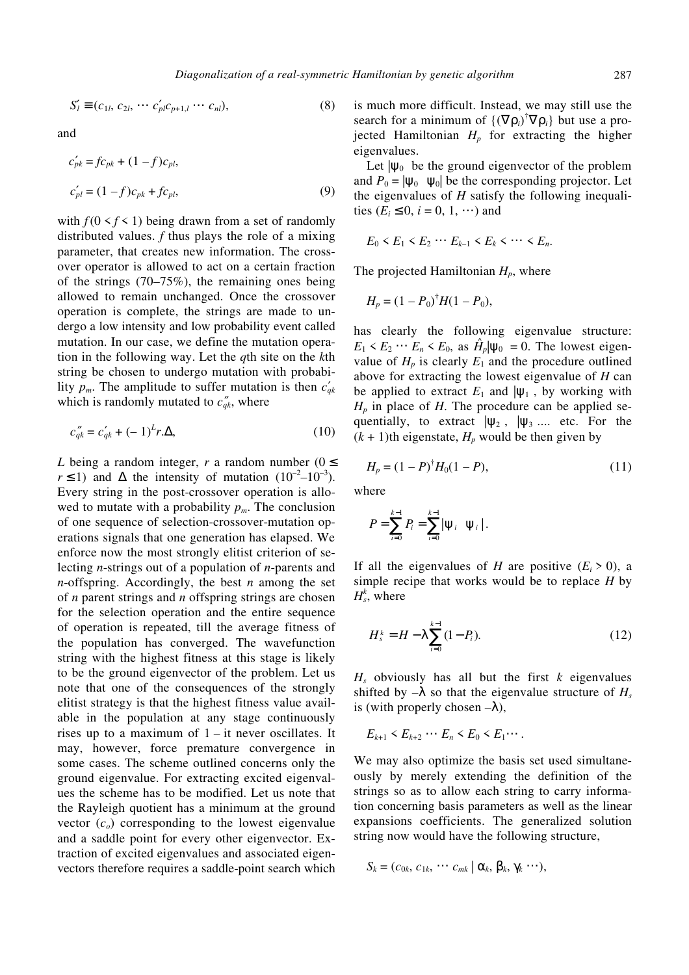$$
S'_{l} \equiv (c_{1l}, c_{2l}, \cdots c'_{pl} c_{p+1,l} \cdots c_{nl}),
$$
\n(8)

and

$$
c'_{pk} = fc_{pk} + (1 - f)c_{pl},
$$
  
\n
$$
c'_{pl} = (1 - f)c_{pk} + fc_{pl},
$$
\n(9)

with  $f(0 \le f \le 1)$  being drawn from a set of randomly distributed values. *f* thus plays the role of a mixing parameter, that creates new information. The crossover operator is allowed to act on a certain fraction of the strings (70–75%), the remaining ones being allowed to remain unchanged. Once the crossover operation is complete, the strings are made to undergo a low intensity and low probability event called mutation. In our case, we define the mutation operation in the following way. Let the *q*th site on the *k*th string be chosen to undergo mutation with probability  $p_m$ . The amplitude to suffer mutation is then  $c'_{ak}$ which is randomly mutated to  $c_{qk}^{\prime\prime}$ , where

$$
c_{qk}'' = c_{qk}' + (-1)^k r \Delta,
$$
 (10)

*L* being a random integer, *r* a random number ( $0 \le$  $r \le 1$ ) and  $\Delta$  the intensity of mutation  $(10^{-2} - 10^{-3})$ . Every string in the post-crossover operation is allowed to mutate with a probability  $p_m$ . The conclusion of one sequence of selection-crossover-mutation operations signals that one generation has elapsed. We enforce now the most strongly elitist criterion of selecting *n*-strings out of a population of *n*-parents and *n*-offspring. Accordingly, the best *n* among the set of *n* parent strings and *n* offspring strings are chosen for the selection operation and the entire sequence of operation is repeated, till the average fitness of the population has converged. The wavefunction string with the highest fitness at this stage is likely to be the ground eigenvector of the problem. Let us note that one of the consequences of the strongly elitist strategy is that the highest fitness value available in the population at any stage continuously rises up to a maximum of  $1 - it$  never oscillates. It may, however, force premature convergence in some cases. The scheme outlined concerns only the ground eigenvalue. For extracting excited eigenvalues the scheme has to be modified. Let us note that the Rayleigh quotient has a minimum at the ground vector  $(c<sub>o</sub>)$  corresponding to the lowest eigenvalue and a saddle point for every other eigenvector. Extraction of excited eigenvalues and associated eigenvectors therefore requires a saddle-point search which is much more difficult. Instead, we may still use the search for a minimum of  ${(\nabla \rho_i)}^{\dagger} \nabla \rho_i$  but use a projected Hamiltonian  $H_p$  for extracting the higher eigenvalues.

Let  $|\psi_0\rangle$  be the ground eigenvector of the problem and  $P_0 = |\psi_0\rangle\langle\psi_0|$  be the corresponding projector. Let the eigenvalues of *H* satisfy the following inequalities  $(E_i \leq 0, i = 0, 1, \cdots)$  and

$$
E_0 < E_1 < E_2 \cdots E_{k-1} < E_k < \cdots < E_n.
$$

The projected Hamiltonian *Hp*, where

$$
H_p = (1 - P_0)^{\dagger} H (1 - P_0),
$$

has clearly the following eigenvalue structure:  $E_1 \le E_2 \cdots E_n \le E_0$ , as  $\hat{H}_p |\psi_0\rangle = 0$ . The lowest eigenvalue of  $H_p$  is clearly  $E_1$  and the procedure outlined above for extracting the lowest eigenvalue of *H* can be applied to extract  $E_1$  and  $|\psi_1\rangle$ , by working with  $H_p$  in place of *H*. The procedure can be applied sequentially, to extract  $|\psi_2\rangle$ ,  $|\psi_3\rangle$ .... etc. For the  $(k + 1)$ th eigenstate,  $H_p$  would be then given by

$$
H_p = (1 - P)^{\dagger} H_0 (1 - P), \tag{11}
$$

where

$$
P=\sum_{i=0}^{k-1}P_i=\sum_{i=0}^{k-1}|\psi_i\rangle\langle\psi_i|.
$$

If all the eigenvalues of *H* are positive  $(E_i > 0)$ , a simple recipe that works would be to replace *H* by  $H_s^k$ , where

$$
H_s^k = H - \lambda \sum_{i=0}^{k-1} (1 - P_i). \tag{12}
$$

 $H_s$  obviously has all but the first  $k$  eigenvalues shifted by  $-\lambda$  so that the eigenvalue structure of  $H_s$ is (with properly chosen  $-\lambda$ ),

 $E_{k+1}$  <  $E_{k+2}$  …  $E_n$  <  $E_0$  <  $E_1$ ….

We may also optimize the basis set used simultaneously by merely extending the definition of the strings so as to allow each string to carry information concerning basis parameters as well as the linear expansions coefficients. The generalized solution string now would have the following structure,

$$
S_k = (c_{0k}, c_{1k}, \cdots c_{mk} | \alpha_k, \beta_k, \gamma_k \cdots),
$$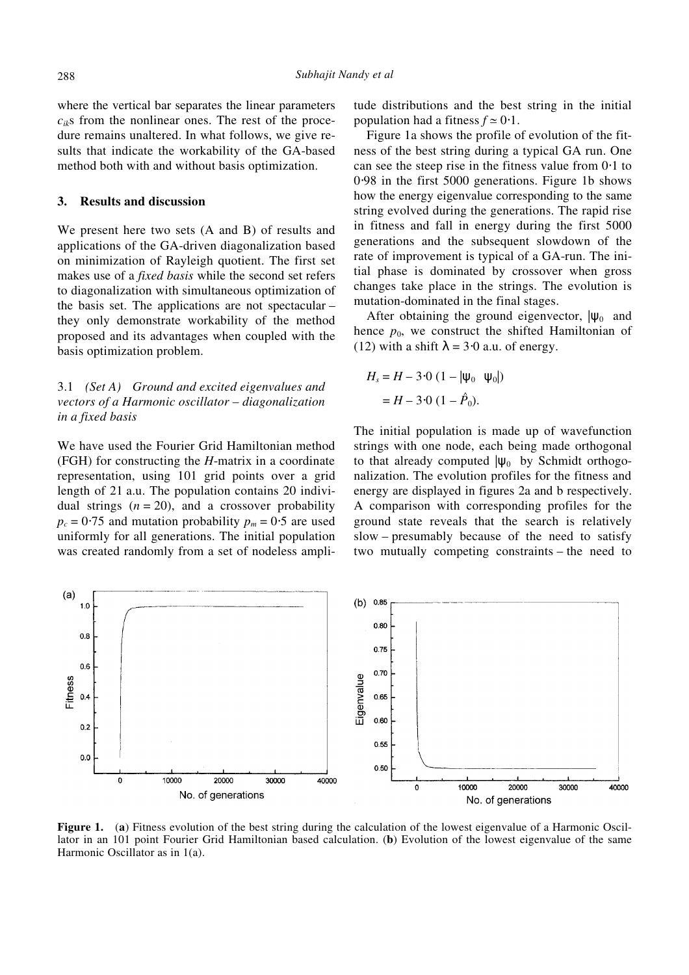where the vertical bar separates the linear parameters  $c_{ik}$ s from the nonlinear ones. The rest of the procedure remains unaltered. In what follows, we give results that indicate the workability of the GA-based method both with and without basis optimization.

### **3. Results and discussion**

We present here two sets (A and B) of results and applications of the GA-driven diagonalization based on minimization of Rayleigh quotient. The first set makes use of a *fixed basis* while the second set refers to diagonalization with simultaneous optimization of the basis set. The applications are not spectacular – they only demonstrate workability of the method proposed and its advantages when coupled with the basis optimization problem.

## 3.1 *(Set A) Ground and excited eigenvalues and vectors of a Harmonic oscillator – diagonalization in a fixed basis*

We have used the Fourier Grid Hamiltonian method (FGH) for constructing the *H*-matrix in a coordinate representation, using 101 grid points over a grid length of 21 a.u. The population contains 20 individual strings  $(n = 20)$ , and a crossover probability  $p_c = 0.75$  and mutation probability  $p_m = 0.5$  are used uniformly for all generations. The initial population was created randomly from a set of nodeless amplitude distributions and the best string in the initial population had a fitness  $f \approx 0.1$ .

Figure 1a shows the profile of evolution of the fitness of the best string during a typical GA run. One can see the steep rise in the fitness value from 0⋅1 to 0⋅98 in the first 5000 generations. Figure 1b shows how the energy eigenvalue corresponding to the same string evolved during the generations. The rapid rise in fitness and fall in energy during the first 5000 generations and the subsequent slowdown of the rate of improvement is typical of a GA-run. The initial phase is dominated by crossover when gross changes take place in the strings. The evolution is mutation-dominated in the final stages.

After obtaining the ground eigenvector,  $|\psi_0\rangle$  and hence  $p_0$ , we construct the shifted Hamiltonian of (12) with a shift  $\lambda = 3.0$  a.u. of energy.

$$
H_s = H - 3.0 (1 - |\psi_0\rangle\langle\psi_0|)
$$
  
= H - 3.0 (1 -  $\hat{P}_0$ ).

The initial population is made up of wavefunction strings with one node, each being made orthogonal to that already computed  $|\psi_0\rangle$  by Schmidt orthogonalization. The evolution profiles for the fitness and energy are displayed in figures 2a and b respectively. A comparison with corresponding profiles for the ground state reveals that the search is relatively slow – presumably because of the need to satisfy two mutually competing constraints – the need to



**Figure 1.** (**a**) Fitness evolution of the best string during the calculation of the lowest eigenvalue of a Harmonic Oscillator in an 101 point Fourier Grid Hamiltonian based calculation. (**b**) Evolution of the lowest eigenvalue of the same Harmonic Oscillator as in 1(a).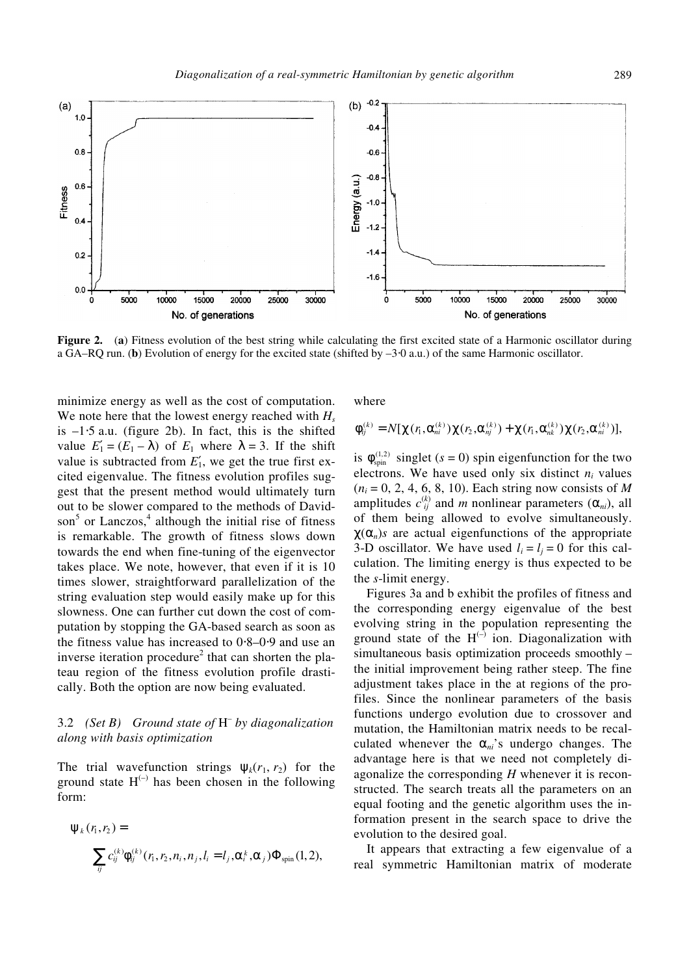

**Figure 2.** (**a**) Fitness evolution of the best string while calculating the first excited state of a Harmonic oscillator during a GA–RQ run. (**b**) Evolution of energy for the excited state (shifted by –3⋅0 a.u.) of the same Harmonic oscillator.

minimize energy as well as the cost of computation. We note here that the lowest energy reached with  $H_s$ is –1⋅5 a.u. (figure 2b). In fact, this is the shifted value  $E_1' = (E_1 - \lambda)$  of  $E_1$  where  $\lambda = 3$ . If the shift value is subtracted from  $E'_1$ , we get the true first excited eigenvalue. The fitness evolution profiles suggest that the present method would ultimately turn out to be slower compared to the methods of Davidson<sup>5</sup> or Lanczos,<sup>4</sup> although the initial rise of fitness is remarkable. The growth of fitness slows down towards the end when fine-tuning of the eigenvector takes place. We note, however, that even if it is 10 times slower, straightforward parallelization of the string evaluation step would easily make up for this slowness. One can further cut down the cost of computation by stopping the GA-based search as soon as the fitness value has increased to 0⋅8–0⋅9 and use an inverse iteration procedure<sup>2</sup> that can shorten the plateau region of the fitness evolution profile drastically. Both the option are now being evaluated.

## 3.2 *(Set B) Ground state of* H *– by diagonalization along with basis optimization*

The trial wavefunction strings  $\Psi_k(r_1, r_2)$  for the ground state  $H^{(-)}$  has been chosen in the following form:

$$
\Psi_k(r_i, r_2) = \sum_{ij} c_{ij}^{(k)} \Phi_{ij}^{(k)}(r_i, r_2, n_i, n_j, l_i = l_j, \alpha_i^k, \alpha_j) \Phi_{spin}(1, 2),
$$

where

$$
\phi_{ij}^{(k)} = N[\chi(r_1, \alpha_{ni}^{(k)})\chi(r_2, \alpha_{nj}^{(k)}) + \chi(r_1, \alpha_{nk}^{(k)})\chi(r_2, \alpha_{ni}^{(k)})],
$$

is  $\phi_{spin}^{(1,2)}$  singlet ( $s = 0$ ) spin eigenfunction for the two electrons. We have used only six distinct  $n_i$  values  $(n_i = 0, 2, 4, 6, 8, 10)$ . Each string now consists of *M* amplitudes  $c_{ij}^{(k)}$  and *m* nonlinear parameters  $(\alpha_{ni})$ , all of them being allowed to evolve simultaneously.  $\chi(\alpha_n)$ *s* are actual eigenfunctions of the appropriate 3-D oscillator. We have used  $l_i = l_j = 0$  for this calculation. The limiting energy is thus expected to be the *s*-limit energy.

Figures 3a and b exhibit the profiles of fitness and the corresponding energy eigenvalue of the best evolving string in the population representing the ground state of the  $H^{(-)}$  ion. Diagonalization with simultaneous basis optimization proceeds smoothly – the initial improvement being rather steep. The fine adjustment takes place in the at regions of the profiles. Since the nonlinear parameters of the basis functions undergo evolution due to crossover and mutation, the Hamiltonian matrix needs to be recalculated whenever the  $\alpha_{ni}$ 's undergo changes. The advantage here is that we need not completely diagonalize the corresponding *H* whenever it is reconstructed. The search treats all the parameters on an equal footing and the genetic algorithm uses the information present in the search space to drive the evolution to the desired goal.

It appears that extracting a few eigenvalue of a real symmetric Hamiltonian matrix of moderate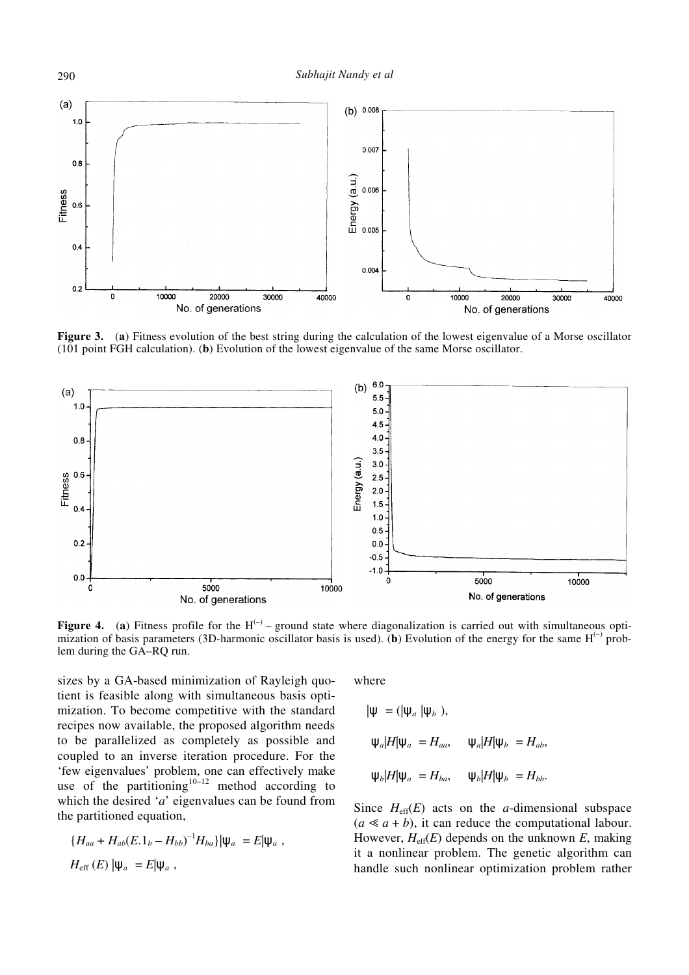

**Figure 3.** (**a**) Fitness evolution of the best string during the calculation of the lowest eigenvalue of a Morse oscillator (101 point FGH calculation). (**b**) Evolution of the lowest eigenvalue of the same Morse oscillator.



**Figure 4.** (a) Fitness profile for the  $H^{(-)}$  – ground state where diagonalization is carried out with simultaneous optimization of basis parameters (3D-harmonic oscillator basis is used). (b) Evolution of the energy for the same  $H^{(-)}$  problem during the GA–RQ run.

sizes by a GA-based minimization of Rayleigh quotient is feasible along with simultaneous basis optimization. To become competitive with the standard recipes now available, the proposed algorithm needs to be parallelized as completely as possible and coupled to an inverse iteration procedure. For the 'few eigenvalues' problem, one can effectively make use of the partitioning<sup>10–12</sup> method according to which the desired '*a*' eigenvalues can be found from the partitioned equation,

$$
\{H_{aa} + H_{ab}(E.1_b - H_{bb})^{-1}H_{ba}\}\|\psi_a\rangle = E|\psi_a\rangle,
$$
  

$$
H_{\rm eff}(E) |\psi_a\rangle = E|\psi_a\rangle,
$$

where

$$
|\psi\rangle = (|\psi_a\rangle|\psi_b\rangle),
$$
  

$$
\langle \psi_a|H|\psi_a\rangle = H_{aa}, \quad \langle \psi_a|H|\psi_b\rangle = H_{ab},
$$
  

$$
\langle \psi_b|H|\psi_a\rangle = H_{ba}, \quad \langle \psi_b|H|\psi_b\rangle = H_{bb}.
$$

Since  $H_{\text{eff}}(E)$  acts on the *a*-dimensional subspace  $(a \leq a + b)$ , it can reduce the computational labour. However,  $H_{\text{eff}}(E)$  depends on the unknown  $E$ , making it a nonlinear problem. The genetic algorithm can handle such nonlinear optimization problem rather